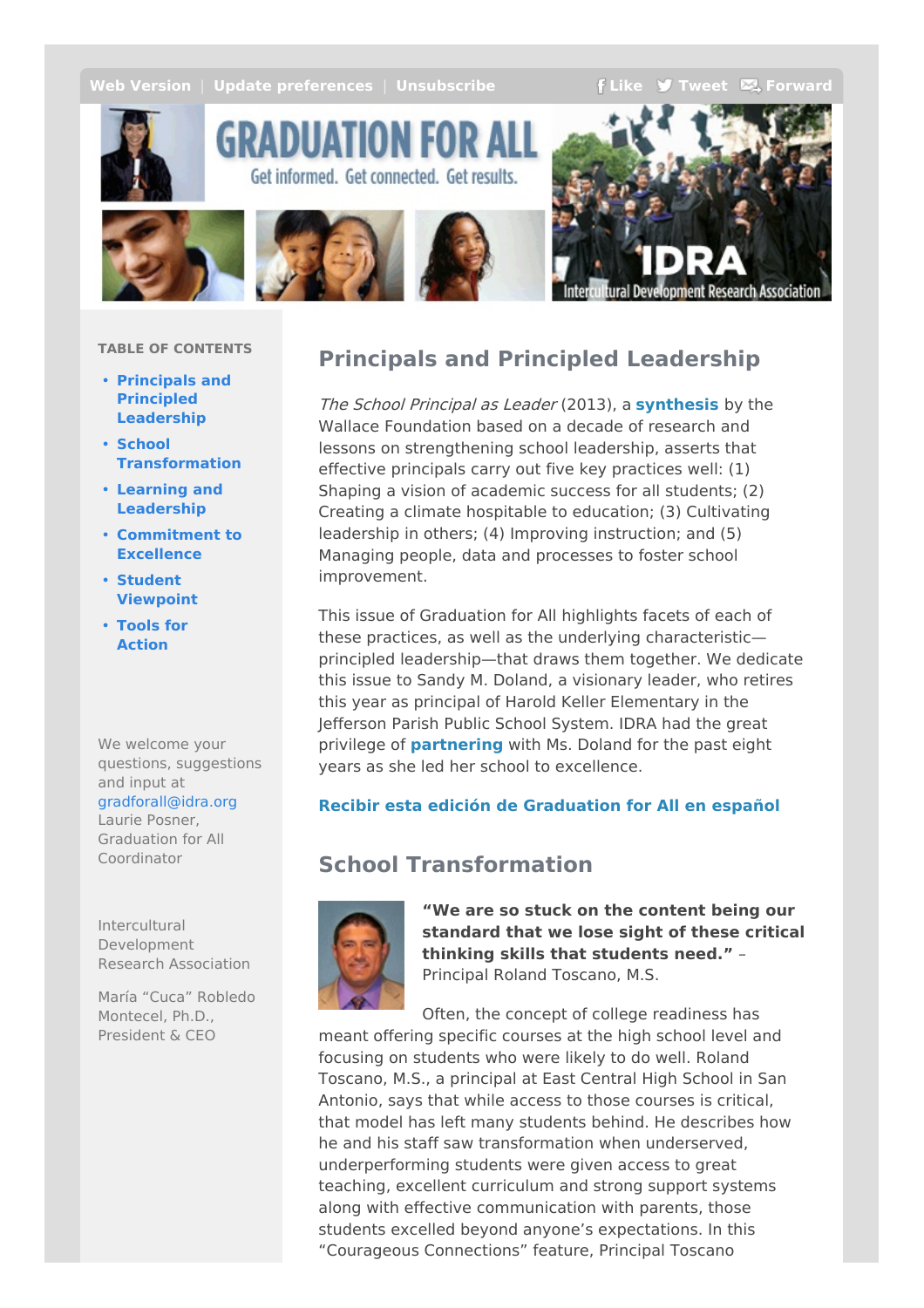<span id="page-0-0"></span>**Web [Version](http://idra.createsend1.com/t/r-e-bvhkdt-l-r/)** | **Update** [preferences](http://idra.updatemyprofile.com/r-l-2AD73FFF-l-y) | **[Unsubscribe](http://idra.createsend1.com/t/r-u-bvhkdt-l-j/) F[Like](/t/r-fb-bvhkdt-l-i/?act=wv) J** [Tweet](http://idra.createsend1.com/t/r-tw-bvhkdt-l-h/)  $\sum$  [Forward](http://idra.forwardtomyfriend.com/r-l-2AD73FFF-bvhkdt-l-u)

search Association



GRADUATION FOR A Get informed. Get connected. Get results.



#### **TABLE OF CONTENTS**

- **Principals and Principled [Leadership](#page-0-0)**
- **School [Transformation](#page-0-0)**
- **Learning and [Leadership](#page-0-0)**
- **[Commitment](#page-0-0) to Excellence**
- **Student [Viewpoint](#page-0-0)**
- **Tools for [Action](#page-0-0)**

We welcome your questions, suggestions and input at

#### [gradforall@idra.org](mailto:gradforall@idra.org?subject=Principals and Principled Leadership)

Laurie Posner, Graduation for All Coordinator

Intercultural Development Research Association

María "Cuca" Robledo Montecel, Ph.D., President & CEO

# **Principals and Principled Leadership**

The School Principal as Leader (2013), a **[synthesis](http://idra.createsend1.com/t/r-l-bvhkdt-l-e/)** by the Wallace Foundation based on a decade of research and lessons on strengthening school leadership, asserts that effective principals carry out five key practices well: (1) Shaping a vision of academic success for all students; (2) Creating a climate hospitable to education; (3) Cultivating leadership in others; (4) Improving instruction; and (5) Managing people, data and processes to foster school improvement.

This issue of Graduation for All highlights facets of each of these practices, as well as the underlying characteristic principled leadership—that draws them together. We dedicate this issue to Sandy M. Doland, a visionary leader, who retires this year as principal of Harold Keller Elementary in the Jefferson Parish Public School System. IDRA had the great privilege of **[partnering](http://idra.createsend1.com/t/r-l-bvhkdt-l-s/)** with Ms. Doland for the past eight years as she led her school to excellence.

### **Recibir esta edición de [Graduation](http://idra.createsend1.com/t/r-l-bvhkdt-l-g/) for All en español**

# **School Transformation**



**"We are so stuck on the content being our standard that we lose sight of these critical thinking skills that students need."** – Principal Roland Toscano, M.S.

Often, the concept of college readiness has meant offering specific courses at the high school level and focusing on students who were likely to do well. Roland Toscano, M.S., a principal at East Central High School in San Antonio, says that while access to those courses is critical, that model has left many students behind. He describes how he and his staff saw transformation when underserved, underperforming students were given access to great teaching, excellent curriculum and strong support systems along with effective communication with parents, those students excelled beyond anyone's expectations. In this "Courageous Connections" feature, Principal Toscano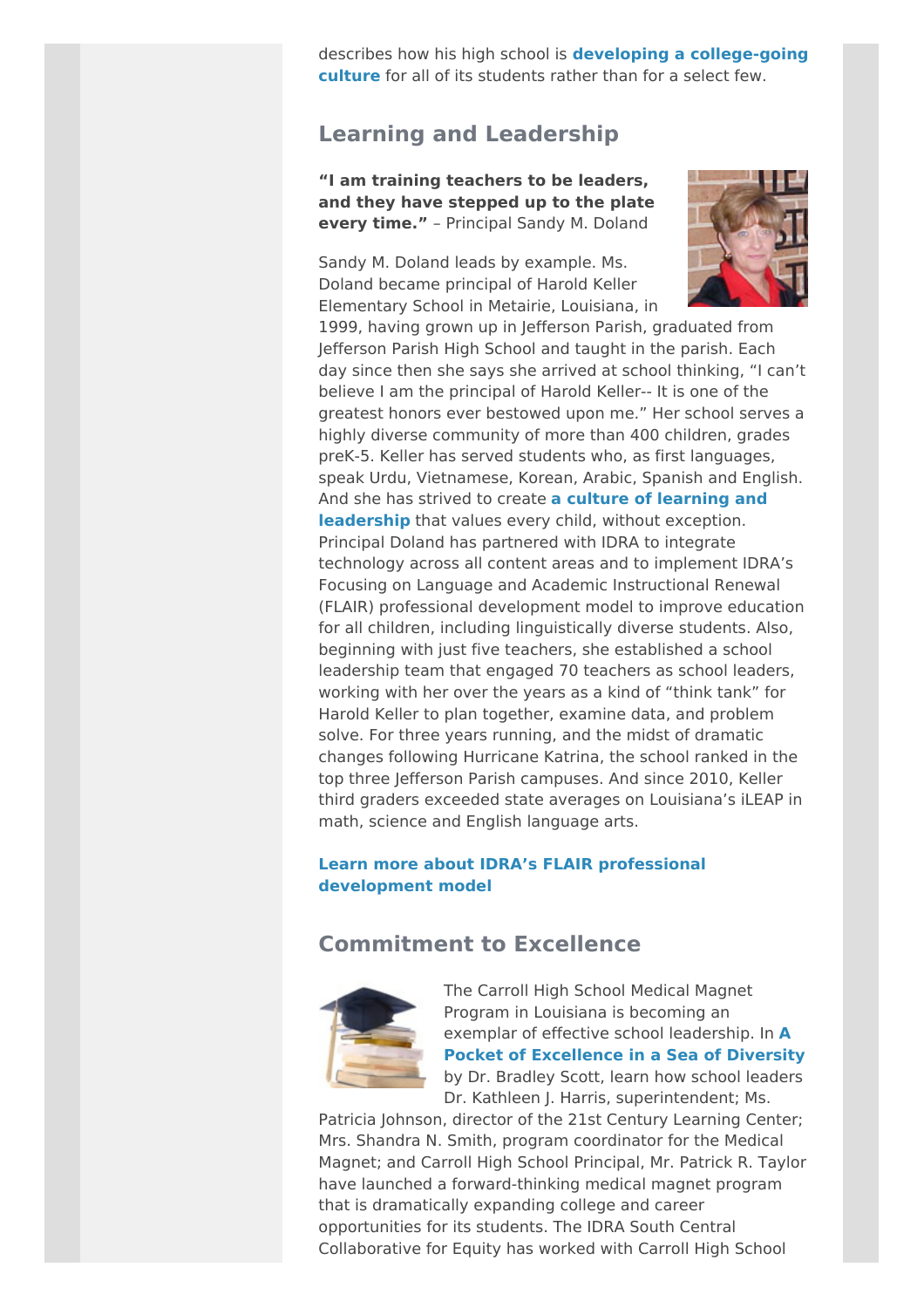describes how his high school is **developing a [college-going](http://idra.createsend1.com/t/r-l-bvhkdt-l-w/) culture** for all of its students rather than for a select few.

## **Learning and Leadership**

**"I am training teachers to be leaders, and they have stepped up to the plate every time."** – Principal Sandy M. Doland

Sandy M. Doland leads by example. Ms. Doland became principal of Harold Keller Elementary School in Metairie, Louisiana, in



1999, having grown up in Jefferson Parish, graduated from Jefferson Parish High School and taught in the parish. Each day since then she says she arrived at school thinking, "I can't believe I am the principal of Harold Keller-- It is one of the greatest honors ever bestowed upon me." Her school serves a highly diverse community of more than 400 children, grades preK-5. Keller has served students who, as first languages, speak Urdu, Vietnamese, Korean, Arabic, Spanish and English. And she has strived to create **a culture of learning and [leadership](http://idra.createsend1.com/t/r-l-bvhkdt-l-yd/)** that values every child, without exception. Principal Doland has partnered with IDRA to integrate technology across all content areas and to implement IDRA's Focusing on Language and Academic Instructional Renewal (FLAIR) professional development model to improve education for all children, including linguistically diverse students. Also, beginning with just five teachers, she established a school leadership team that engaged 70 teachers as school leaders, working with her over the years as a kind of "think tank" for Harold Keller to plan together, examine data, and problem solve. For three years running, and the midst of dramatic changes following Hurricane Katrina, the school ranked in the top three Jefferson Parish campuses. And since 2010, Keller third graders exceeded state averages on Louisiana's iLEAP in math, science and English language arts.

#### **Learn more about IDRA's FLAIR professional [development](http://idra.createsend1.com/t/r-l-bvhkdt-l-yh/) model**

### **Commitment to Excellence**



The Carroll High School Medical Magnet Program in Louisiana is becoming an exemplar of effective school [leadership.](http://idra.createsend1.com/t/r-l-bvhkdt-l-yk/) In **A Pocket of Excellence in a Sea of Diversity** by Dr. Bradley Scott, learn how school leaders Dr. Kathleen J. Harris, superintendent; Ms.

Patricia Johnson, director of the 21st Century Learning Center; Mrs. Shandra N. Smith, program coordinator for the Medical Magnet; and Carroll High School Principal, Mr. Patrick R. Taylor have launched a forward-thinking medical magnet program that is dramatically expanding college and career opportunities for its students. The IDRA South Central Collaborative for Equity has worked with Carroll High School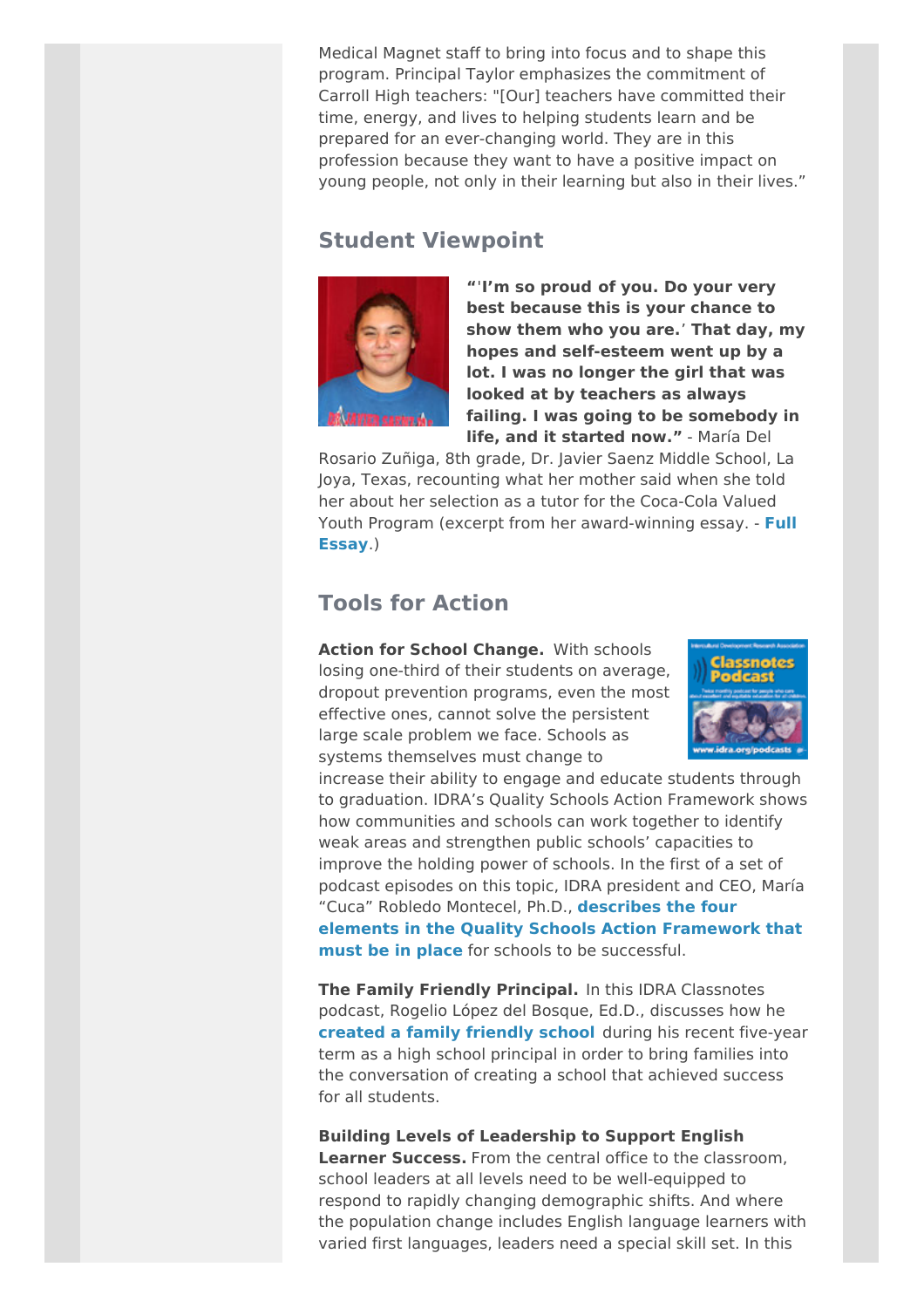Medical Magnet staff to bring into focus and to shape this program. Principal Taylor emphasizes the commitment of Carroll High teachers: "[Our] teachers have committed their time, energy, and lives to helping students learn and be prepared for an ever-changing world. They are in this profession because they want to have a positive impact on young people, not only in their learning but also in their lives."

## **Student Viewpoint**



**"**'**I'm so proud of you. Do your very best because this is your chance to show them who you are.**' **That day, my hopes and self-esteem went up by a lot. I was no longer the girl that was looked at by teachers as always failing. I was going to be somebody in life, and it started now."** - María Del

Rosario Zuñiga, 8th grade, Dr. Javier Saenz Middle School, La Joya, Texas, recounting what her mother said when she told her about her selection as a tutor for the Coca-Cola Valued Youth Program (excerpt from her [award-winning](http://idra.createsend1.com/t/r-l-bvhkdt-l-yu/) essay. - **Full Essay**.)

## **Tools for Action**

**Action for School Change.** With schools losing one-third of their students on average, dropout prevention programs, even the most effective ones, cannot solve the persistent large scale problem we face. Schools as systems themselves must change to



increase their ability to engage and educate students through to graduation. IDRA's Quality Schools Action Framework shows how communities and schools can work together to identify weak areas and strengthen public schools' capacities to improve the holding power of schools. In the first of a set of podcast episodes on this topic, IDRA president and CEO, María "Cuca" Robledo Montecel, Ph.D., **describes the four elements in the Quality Schools Action [Framework](http://idra.createsend1.com/t/r-l-bvhkdt-l-jl/) that must be in place** for schools to be successful.

**The Family Friendly Principal.** In this IDRA Classnotes podcast, Rogelio López del Bosque, Ed.D., discusses how he **created a family [friendly](http://idra.createsend1.com/t/r-l-bvhkdt-l-jr/) school** during his recent five-year term as a high school principal in order to bring families into the conversation of creating a school that achieved success for all students.

**Building Levels of Leadership to Support English Learner Success.** From the central office to the classroom, school leaders at all levels need to be well-equipped to respond to rapidly changing demographic shifts. And where the population change includes English language learners with varied first languages, leaders need a special skill set. In this